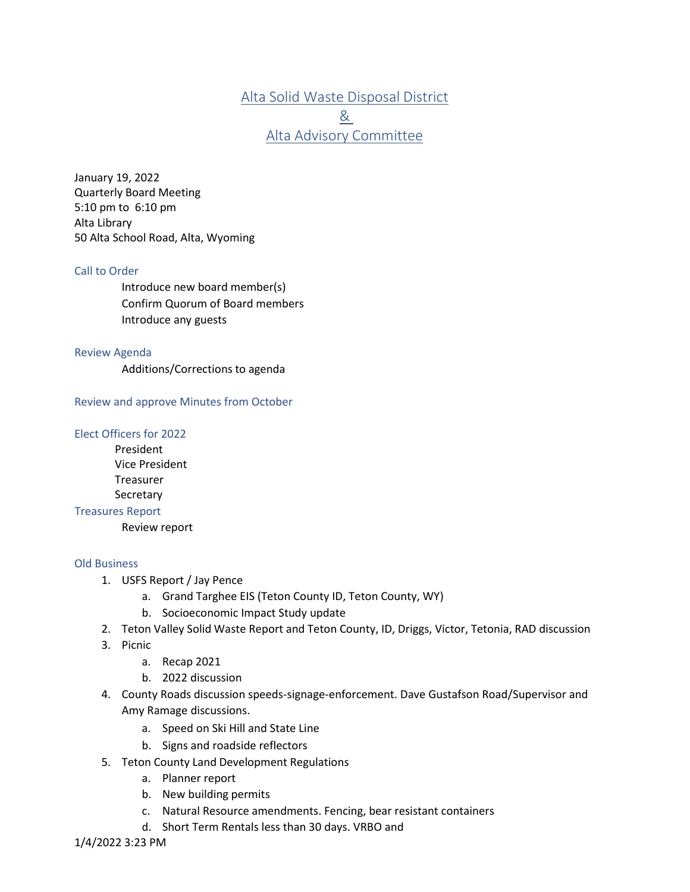Alta Solid Waste Disposal District & Alta Advisory Committee

January 19, 2022 Quarterly Board Meeting 5:10 pm to 6:10 pm Alta Library 50 Alta School Road, Alta, Wyoming

## Call to Order

Introduce new board member(s) Confirm Quorum of Board members Introduce any guests

#### Review Agenda

Additions/Corrections to agenda

Review and approve Minutes from October

## Elect Officers for 2022

President Vice President **Treasurer** Secretary

#### Treasures Report

Review report

### Old Business

- 1. USFS Report / Jay Pence
	- a. Grand Targhee EIS (Teton County ID, Teton County, WY)
	- b. Socioeconomic Impact Study update
- 2. Teton Valley Solid Waste Report and Teton County, ID, Driggs, Victor, Tetonia, RAD discussion
- 3. Picnic
	- a. Recap 2021
	- b. 2022 discussion
- 4. County Roads discussion speeds-signage-enforcement. Dave Gustafson Road/Supervisor and Amy Ramage discussions.
	- a. Speed on Ski Hill and State Line
	- b. Signs and roadside reflectors
- 5. Teton County Land Development Regulations
	- a. Planner report
	- b. New building permits
	- c. Natural Resource amendments. Fencing, bear resistant containers
	- d. Short Term Rentals less than 30 days. VRBO and

1/4/2022 3:23 PM